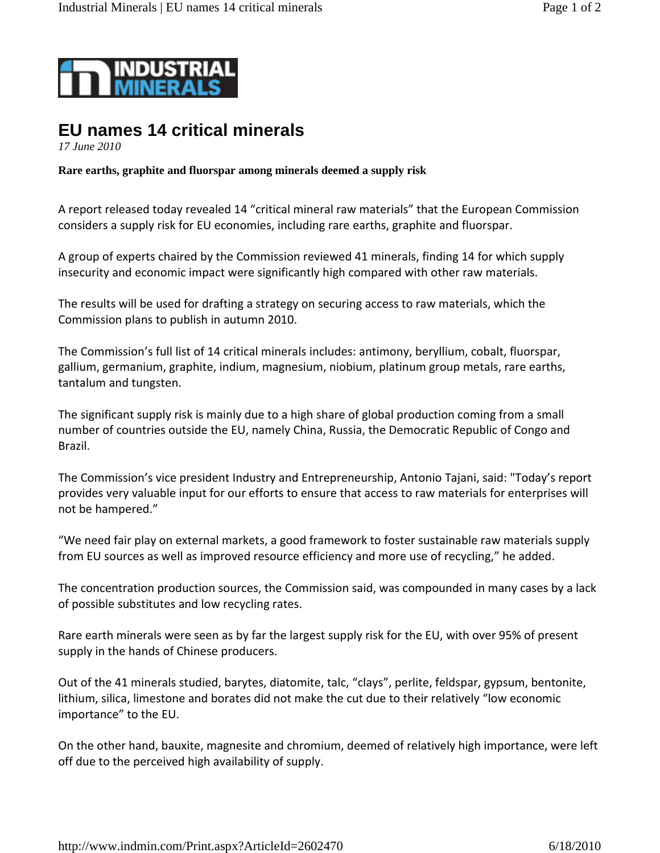

## **EU names 14 critical minerals**

*17 June 2010*

**Rare earths, graphite and fluorspar among minerals deemed a supply risk** 

A report released today revealed 14 "critical mineral raw materials" that the European Commission considers a supply risk for EU economies, including rare earths, graphite and fluorspar.

A group of experts chaired by the Commission reviewed 41 minerals, finding 14 for which supply insecurity and economic impact were significantly high compared with other raw materials.

The results will be used for drafting a strategy on securing access to raw materials, which the Commission plans to publish in autumn 2010.

The Commission's full list of 14 critical minerals includes: antimony, beryllium, cobalt, fluorspar, gallium, germanium, graphite, indium, magnesium, niobium, platinum group metals, rare earths, tantalum and tungsten.

The significant supply risk is mainly due to a high share of global production coming from a small number of countries outside the EU, namely China, Russia, the Democratic Republic of Congo and Brazil.

The Commission's vice president Industry and Entrepreneurship, Antonio Tajani, said: "Today's report provides very valuable input for our efforts to ensure that access to raw materials for enterprises will not be hampered."

"We need fair play on external markets, a good framework to foster sustainable raw materials supply from EU sources as well as improved resource efficiency and more use of recycling," he added.

The concentration production sources, the Commission said, was compounded in many cases by a lack of possible substitutes and low recycling rates.

Rare earth minerals were seen as by far the largest supply risk for the EU, with over 95% of present supply in the hands of Chinese producers.

Out of the 41 minerals studied, barytes, diatomite, talc, "clays", perlite, feldspar, gypsum, bentonite, lithium, silica, limestone and borates did not make the cut due to their relatively "low economic importance" to the EU.

On the other hand, bauxite, magnesite and chromium, deemed of relatively high importance, were left off due to the perceived high availability of supply.